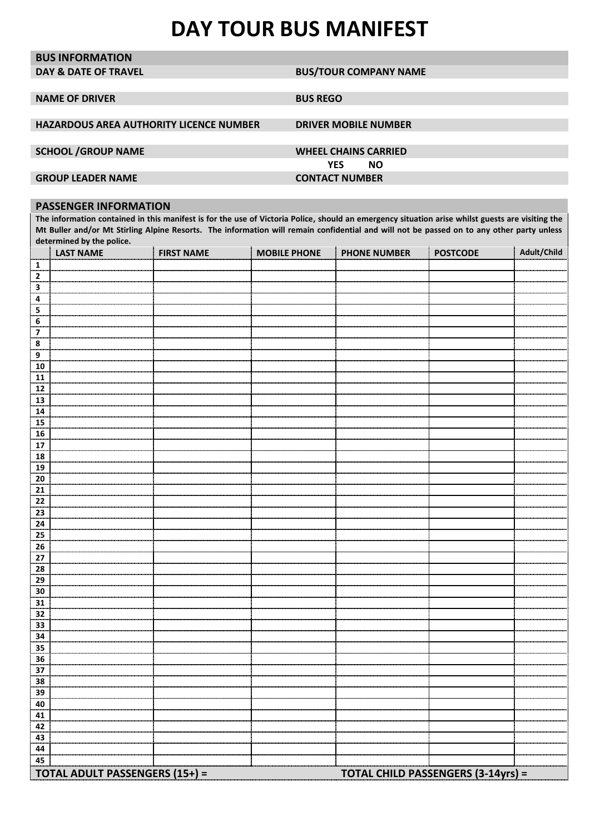## **DAY TOUR BUS MANIFEST**

| <b>BUS INFORMATION</b>                  |                                                                                                                                                  |
|-----------------------------------------|--------------------------------------------------------------------------------------------------------------------------------------------------|
| <b>DAY &amp; DATE OF TRAVEL</b>         | <b>BUS/TOUR COMPANY NAME</b>                                                                                                                     |
|                                         |                                                                                                                                                  |
| <b>NAME OF DRIVER</b>                   | <b>BUS REGO</b>                                                                                                                                  |
|                                         |                                                                                                                                                  |
| HAZARDOUS AREA AUTHORITY LICENCE NUMBER | <b>DRIVER MOBILE NUMBER</b>                                                                                                                      |
|                                         |                                                                                                                                                  |
| <b>SCHOOL /GROUP NAME</b>               | <b>WHEEL CHAINS CARRIED</b>                                                                                                                      |
|                                         | <b>YES</b><br><b>NO</b>                                                                                                                          |
| <b>GROUP LEADER NAME</b>                | <b>CONTACT NUMBER</b>                                                                                                                            |
|                                         |                                                                                                                                                  |
| <b>PASSENGER INFORMATION</b>            |                                                                                                                                                  |
|                                         | The information contained in this manifest is for the use of Victoria Police, should an emergency situation arise whilst guests are visiting the |
|                                         |                                                                                                                                                  |

**Mt Buller and/or Mt Stirling Alpine Resorts. The information will remain confidential and will not be passed on to any other party unless determined by the police.** 

|                         | <b>LAST NAME</b>                      | <b>FIRST NAME</b> | <b>MOBILE PHONE</b> | <b>PHONE NUMBER</b> | <b>POSTCODE</b>                           | <b>Adult/Child</b> |
|-------------------------|---------------------------------------|-------------------|---------------------|---------------------|-------------------------------------------|--------------------|
| $\mathbf{1}$            |                                       |                   |                     |                     |                                           |                    |
| $\mathbf 2$             |                                       |                   |                     |                     |                                           |                    |
| $\mathbf 3$             |                                       |                   |                     |                     |                                           |                    |
| 4                       |                                       |                   |                     |                     |                                           |                    |
| 5                       |                                       |                   |                     |                     |                                           |                    |
| $\bf 6$                 |                                       |                   |                     |                     |                                           |                    |
| $\overline{\mathbf{z}}$ |                                       |                   |                     |                     |                                           |                    |
| $\pmb{8}$               |                                       |                   |                     |                     |                                           |                    |
| $\overline{9}$          |                                       |                   |                     |                     |                                           |                    |
| ${\bf 10}$              |                                       |                   |                     |                     |                                           |                    |
| 11                      |                                       |                   |                     |                     |                                           |                    |
| 12                      |                                       |                   |                     |                     |                                           |                    |
| 13                      |                                       |                   |                     |                     |                                           |                    |
| ${\bf 14}$              |                                       |                   |                     |                     |                                           |                    |
| 15                      |                                       |                   |                     |                     |                                           |                    |
| ${\bf 16}$              |                                       |                   |                     |                     |                                           |                    |
| 17<br>18                |                                       |                   |                     |                     |                                           |                    |
| 19                      |                                       |                   |                     |                     |                                           |                    |
| 20                      |                                       |                   |                     |                     |                                           |                    |
| 21                      |                                       |                   |                     |                     |                                           |                    |
| 22                      |                                       |                   |                     |                     |                                           |                    |
| 23                      |                                       |                   |                     |                     |                                           |                    |
| ${\bf 24}$              |                                       |                   |                     |                     |                                           |                    |
| 25                      |                                       |                   |                     |                     |                                           |                    |
| 26                      |                                       |                   |                     |                     |                                           |                    |
| 27                      |                                       |                   |                     |                     |                                           |                    |
| 28                      |                                       |                   |                     |                     |                                           |                    |
| 29                      |                                       |                   |                     |                     |                                           |                    |
| $30\,$                  |                                       |                   |                     |                     |                                           |                    |
| 31                      |                                       |                   |                     |                     |                                           |                    |
| 32                      |                                       |                   |                     |                     |                                           |                    |
| 33                      |                                       |                   |                     |                     |                                           |                    |
| 34                      |                                       |                   |                     |                     |                                           |                    |
| 35                      |                                       |                   |                     |                     |                                           |                    |
| 36                      |                                       |                   |                     |                     |                                           |                    |
| 37                      |                                       |                   |                     |                     |                                           |                    |
| 38                      |                                       |                   |                     |                     |                                           |                    |
| 39                      |                                       |                   |                     |                     |                                           |                    |
| 40                      |                                       |                   |                     |                     |                                           |                    |
| 41                      |                                       |                   |                     |                     |                                           |                    |
| 42                      |                                       |                   |                     |                     |                                           |                    |
| 43                      |                                       |                   |                     |                     |                                           |                    |
| 44                      |                                       |                   |                     |                     |                                           |                    |
| 45                      |                                       |                   |                     |                     |                                           |                    |
|                         | <b>TOTAL ADULT PASSENGERS (15+) =</b> |                   |                     |                     | <b>TOTAL CHILD PASSENGERS (3-14yrs) =</b> |                    |